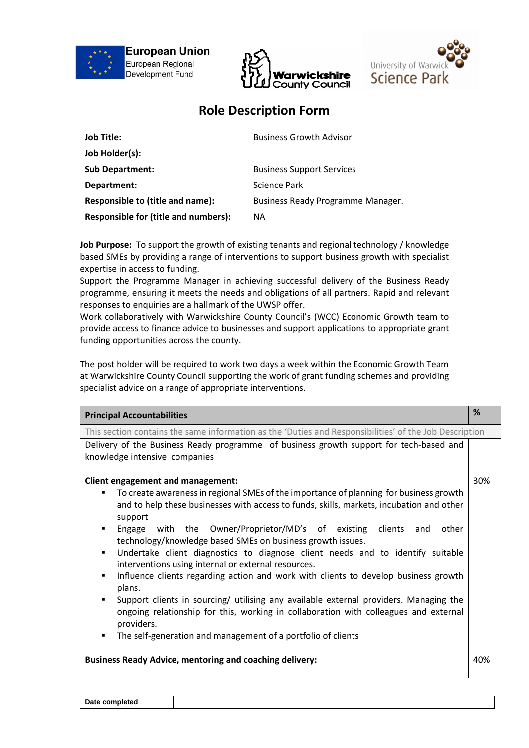





## **Role Description Form**

| <b>Job Title:</b>                           | <b>Business Growth Advisor</b>    |
|---------------------------------------------|-----------------------------------|
| Job Holder(s):                              |                                   |
| <b>Sub Department:</b>                      | <b>Business Support Services</b>  |
| Department:                                 | Science Park                      |
| Responsible to (title and name):            | Business Ready Programme Manager. |
| <b>Responsible for (title and numbers):</b> | ΝA                                |

**Job Purpose:** To support the growth of existing tenants and regional technology / knowledge based SMEs by providing a range of interventions to support business growth with specialist expertise in access to funding.

Support the Programme Manager in achieving successful delivery of the Business Ready programme, ensuring it meets the needs and obligations of all partners. Rapid and relevant responses to enquiries are a hallmark of the UWSP offer.

Work collaboratively with Warwickshire County Council's (WCC) Economic Growth team to provide access to finance advice to businesses and support applications to appropriate grant funding opportunities across the county.

The post holder will be required to work two days a week within the Economic Growth Team at Warwickshire County Council supporting the work of grant funding schemes and providing specialist advice on a range of appropriate interventions.

| <b>Principal Accountabilities</b>                                                                                                                                                                                                                                                                                                                                                                                                                                                                                                                                                                                                                                                                                                                                                                                                                                                                               | %   |  |  |  |  |
|-----------------------------------------------------------------------------------------------------------------------------------------------------------------------------------------------------------------------------------------------------------------------------------------------------------------------------------------------------------------------------------------------------------------------------------------------------------------------------------------------------------------------------------------------------------------------------------------------------------------------------------------------------------------------------------------------------------------------------------------------------------------------------------------------------------------------------------------------------------------------------------------------------------------|-----|--|--|--|--|
| This section contains the same information as the 'Duties and Responsibilities' of the Job Description                                                                                                                                                                                                                                                                                                                                                                                                                                                                                                                                                                                                                                                                                                                                                                                                          |     |  |  |  |  |
| Delivery of the Business Ready programme of business growth support for tech-based and                                                                                                                                                                                                                                                                                                                                                                                                                                                                                                                                                                                                                                                                                                                                                                                                                          |     |  |  |  |  |
| knowledge intensive companies                                                                                                                                                                                                                                                                                                                                                                                                                                                                                                                                                                                                                                                                                                                                                                                                                                                                                   |     |  |  |  |  |
| Client engagement and management:<br>To create awareness in regional SMEs of the importance of planning for business growth<br>٠<br>and to help these businesses with access to funds, skills, markets, incubation and other<br>support<br>Engage with the Owner/Proprietor/MD's of existing clients<br>and<br>other<br>٠<br>technology/knowledge based SMEs on business growth issues.<br>Undertake client diagnostics to diagnose client needs and to identify suitable<br>٠<br>interventions using internal or external resources.<br>Influence clients regarding action and work with clients to develop business growth<br>٠<br>plans.<br>Support clients in sourcing/ utilising any available external providers. Managing the<br>٠<br>ongoing relationship for this, working in collaboration with colleagues and external<br>providers.<br>The self-generation and management of a portfolio of clients | 30% |  |  |  |  |
| <b>Business Ready Advice, mentoring and coaching delivery:</b>                                                                                                                                                                                                                                                                                                                                                                                                                                                                                                                                                                                                                                                                                                                                                                                                                                                  | 40% |  |  |  |  |

**Date completed**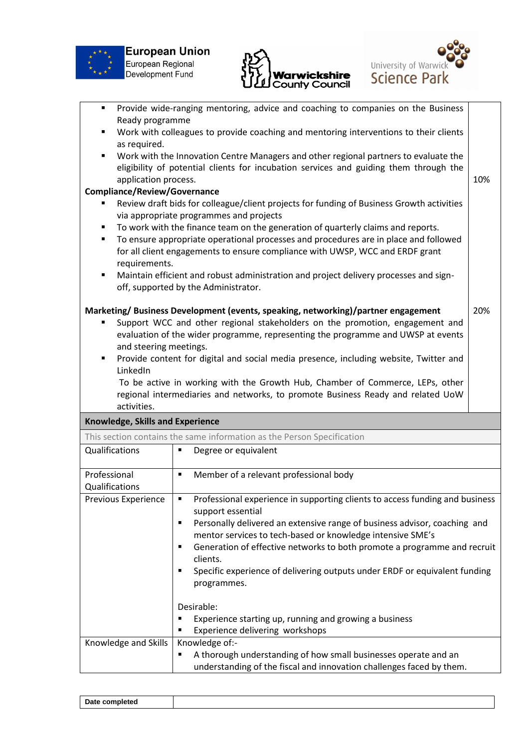





| $\blacksquare$                   | Provide wide-ranging mentoring, advice and coaching to companies on the Business                                                                                      |     |  |  |  |  |  |
|----------------------------------|-----------------------------------------------------------------------------------------------------------------------------------------------------------------------|-----|--|--|--|--|--|
| Ready programme                  |                                                                                                                                                                       |     |  |  |  |  |  |
| ٠                                | Work with colleagues to provide coaching and mentoring interventions to their clients                                                                                 |     |  |  |  |  |  |
| as required.                     |                                                                                                                                                                       |     |  |  |  |  |  |
| ٠                                | Work with the Innovation Centre Managers and other regional partners to evaluate the                                                                                  |     |  |  |  |  |  |
|                                  | eligibility of potential clients for incubation services and guiding them through the                                                                                 |     |  |  |  |  |  |
| application process.             |                                                                                                                                                                       | 10% |  |  |  |  |  |
|                                  | Compliance/Review/Governance                                                                                                                                          |     |  |  |  |  |  |
|                                  | Review draft bids for colleague/client projects for funding of Business Growth activities<br>via appropriate programmes and projects                                  |     |  |  |  |  |  |
| ٠                                | To work with the finance team on the generation of quarterly claims and reports.                                                                                      |     |  |  |  |  |  |
| ٠                                | To ensure appropriate operational processes and procedures are in place and followed<br>for all client engagements to ensure compliance with UWSP, WCC and ERDF grant |     |  |  |  |  |  |
| requirements.                    |                                                                                                                                                                       |     |  |  |  |  |  |
| ٠                                | Maintain efficient and robust administration and project delivery processes and sign-<br>off, supported by the Administrator.                                         |     |  |  |  |  |  |
|                                  |                                                                                                                                                                       |     |  |  |  |  |  |
|                                  | Marketing/Business Development (events, speaking, networking)/partner engagement                                                                                      | 20% |  |  |  |  |  |
|                                  | Support WCC and other regional stakeholders on the promotion, engagement and<br>evaluation of the wider programme, representing the programme and UWSP at events      |     |  |  |  |  |  |
|                                  |                                                                                                                                                                       |     |  |  |  |  |  |
| ٠                                | and steering meetings.                                                                                                                                                |     |  |  |  |  |  |
| LinkedIn                         | Provide content for digital and social media presence, including website, Twitter and                                                                                 |     |  |  |  |  |  |
|                                  | To be active in working with the Growth Hub, Chamber of Commerce, LEPs, other                                                                                         |     |  |  |  |  |  |
|                                  | regional intermediaries and networks, to promote Business Ready and related UoW                                                                                       |     |  |  |  |  |  |
| activities.                      |                                                                                                                                                                       |     |  |  |  |  |  |
| Knowledge, Skills and Experience |                                                                                                                                                                       |     |  |  |  |  |  |
|                                  | This section contains the same information as the Person Specification                                                                                                |     |  |  |  |  |  |
| Qualifications                   | Degree or equivalent<br>٠                                                                                                                                             |     |  |  |  |  |  |
| Professional                     | Member of a relevant professional body<br>$\blacksquare$                                                                                                              |     |  |  |  |  |  |
| Qualifications                   |                                                                                                                                                                       |     |  |  |  |  |  |
| Previous Experience              | $\vert$ <b>•</b> Professional experience in supporting clients to access funding and business                                                                         |     |  |  |  |  |  |
|                                  | support essential                                                                                                                                                     |     |  |  |  |  |  |
|                                  | Personally delivered an extensive range of business advisor, coaching and<br>$\blacksquare$                                                                           |     |  |  |  |  |  |
|                                  |                                                                                                                                                                       |     |  |  |  |  |  |
|                                  |                                                                                                                                                                       |     |  |  |  |  |  |
|                                  | mentor services to tech-based or knowledge intensive SME's<br>٠                                                                                                       |     |  |  |  |  |  |
|                                  | Generation of effective networks to both promote a programme and recruit<br>clients.                                                                                  |     |  |  |  |  |  |
|                                  | Specific experience of delivering outputs under ERDF or equivalent funding<br>$\blacksquare$                                                                          |     |  |  |  |  |  |
|                                  | programmes.                                                                                                                                                           |     |  |  |  |  |  |
|                                  |                                                                                                                                                                       |     |  |  |  |  |  |
|                                  | Desirable:                                                                                                                                                            |     |  |  |  |  |  |
|                                  | Experience starting up, running and growing a business<br>٠                                                                                                           |     |  |  |  |  |  |
|                                  | Experience delivering workshops                                                                                                                                       |     |  |  |  |  |  |
| Knowledge and Skills             | Knowledge of:-                                                                                                                                                        |     |  |  |  |  |  |
|                                  | A thorough understanding of how small businesses operate and an<br>understanding of the fiscal and innovation challenges faced by them.                               |     |  |  |  |  |  |

| Date con<br>$- - - - -$ |  |  |  |
|-------------------------|--|--|--|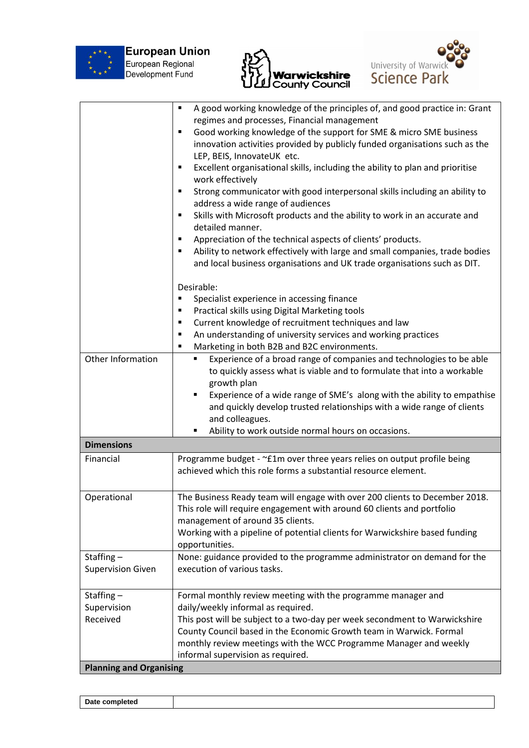

**European Union**<br>European Regional<br>Development Fund





|                                | A good working knowledge of the principles of, and good practice in: Grant<br>٠                        |  |  |  |  |
|--------------------------------|--------------------------------------------------------------------------------------------------------|--|--|--|--|
|                                | regimes and processes, Financial management                                                            |  |  |  |  |
|                                | Good working knowledge of the support for SME & micro SME business<br>٠                                |  |  |  |  |
|                                | innovation activities provided by publicly funded organisations such as the                            |  |  |  |  |
|                                | LEP, BEIS, InnovateUK etc.                                                                             |  |  |  |  |
|                                | Excellent organisational skills, including the ability to plan and prioritise<br>٠<br>work effectively |  |  |  |  |
|                                | Strong communicator with good interpersonal skills including an ability to<br>٠                        |  |  |  |  |
|                                | address a wide range of audiences                                                                      |  |  |  |  |
|                                | Skills with Microsoft products and the ability to work in an accurate and<br>٠<br>detailed manner.     |  |  |  |  |
|                                | Appreciation of the technical aspects of clients' products.<br>٠                                       |  |  |  |  |
|                                | Ability to network effectively with large and small companies, trade bodies                            |  |  |  |  |
|                                | and local business organisations and UK trade organisations such as DIT.                               |  |  |  |  |
|                                | Desirable:                                                                                             |  |  |  |  |
|                                | Specialist experience in accessing finance<br>п                                                        |  |  |  |  |
|                                | Practical skills using Digital Marketing tools<br>٠                                                    |  |  |  |  |
|                                | Current knowledge of recruitment techniques and law<br>٠                                               |  |  |  |  |
|                                | An understanding of university services and working practices<br>٠                                     |  |  |  |  |
|                                | Marketing in both B2B and B2C environments.<br>Е                                                       |  |  |  |  |
| Other Information              | Experience of a broad range of companies and technologies to be able<br>٠                              |  |  |  |  |
|                                | to quickly assess what is viable and to formulate that into a workable                                 |  |  |  |  |
|                                | growth plan                                                                                            |  |  |  |  |
|                                | Experience of a wide range of SME's along with the ability to empathise                                |  |  |  |  |
|                                | and quickly develop trusted relationships with a wide range of clients                                 |  |  |  |  |
|                                | and colleagues.                                                                                        |  |  |  |  |
|                                | Ability to work outside normal hours on occasions.<br>٠                                                |  |  |  |  |
| <b>Dimensions</b>              |                                                                                                        |  |  |  |  |
| Financial                      | Programme budget - ~£1m over three years relies on output profile being                                |  |  |  |  |
|                                | achieved which this role forms a substantial resource element.                                         |  |  |  |  |
|                                |                                                                                                        |  |  |  |  |
| Operational                    | The Business Ready team will engage with over 200 clients to December 2018.                            |  |  |  |  |
|                                | This role will require engagement with around 60 clients and portfolio                                 |  |  |  |  |
|                                | management of around 35 clients.                                                                       |  |  |  |  |
|                                | Working with a pipeline of potential clients for Warwickshire based funding                            |  |  |  |  |
|                                | opportunities.                                                                                         |  |  |  |  |
| Staffing $-$                   | None: guidance provided to the programme administrator on demand for the                               |  |  |  |  |
| <b>Supervision Given</b>       | execution of various tasks.                                                                            |  |  |  |  |
|                                |                                                                                                        |  |  |  |  |
| Staffing-                      | Formal monthly review meeting with the programme manager and                                           |  |  |  |  |
| Supervision                    | daily/weekly informal as required.                                                                     |  |  |  |  |
| Received                       | This post will be subject to a two-day per week secondment to Warwickshire                             |  |  |  |  |
|                                | County Council based in the Economic Growth team in Warwick. Formal                                    |  |  |  |  |
|                                | monthly review meetings with the WCC Programme Manager and weekly                                      |  |  |  |  |
|                                | informal supervision as required.                                                                      |  |  |  |  |
| <b>Planning and Organising</b> |                                                                                                        |  |  |  |  |